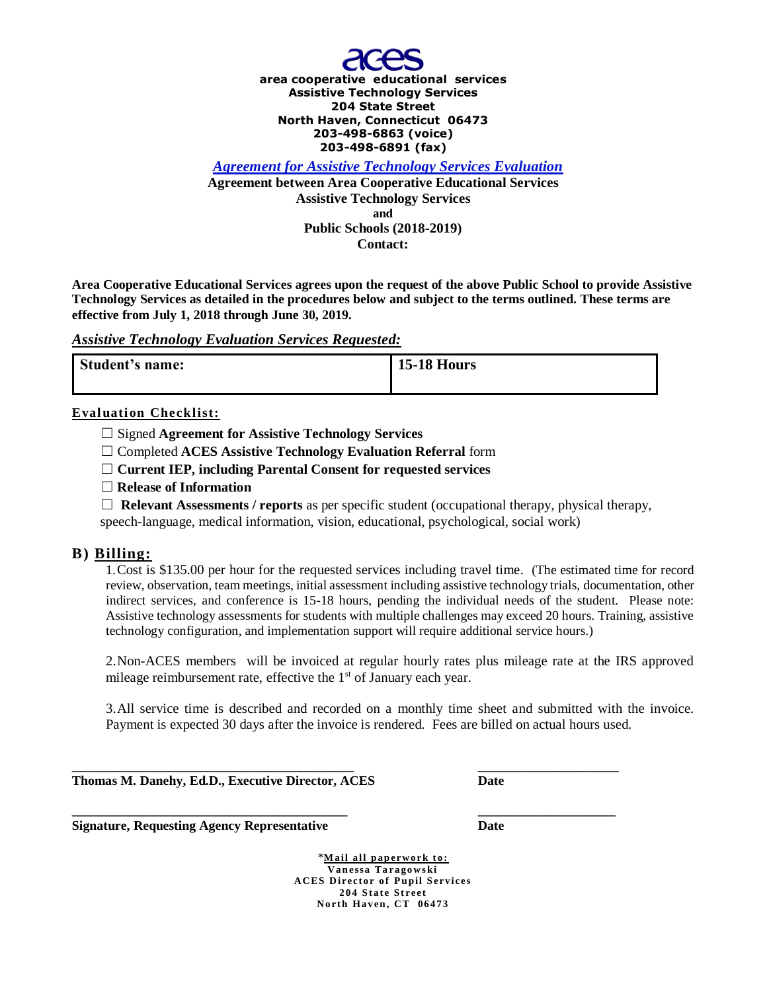

**area cooperative educational services Assistive Technology Services 204 State Street North Haven, Connecticut 06473 203-498-6863 (voice) 203-498-6891 (fax)**

*Agreement for Assistive Technology Services Evaluation* **Agreement between Area Cooperative Educational Services Assistive Technology Services**

**and Public Schools (2018-2019)**

**Contact:**

**Area Cooperative Educational Services agrees upon the request of the above Public School to provide Assistive Technology Services as detailed in the procedures below and subject to the terms outlined. These terms are effective from July 1, 2018 through June 30, 2019.** 

## *Assistive Technology Evaluation Services Requested:*

| Student's name: | <b>15-18 Hours</b> |
|-----------------|--------------------|
|                 |                    |

## **Evaluation Checklist:**

☐ Signed **Agreement for Assistive Technology Services**

☐ Completed **ACES Assistive Technology Evaluation Referral** form

☐ **Current IEP, including Parental Consent for requested services** 

☐ **Release of Information**

☐ **Relevant Assessments / reports** as per specific student (occupational therapy, physical therapy, speech-language, medical information, vision, educational, psychological, social work)

# **B) Billing:**

1.Cost is \$135.00 per hour for the requested services including travel time. (The estimated time for record review, observation, team meetings, initial assessment including assistive technology trials, documentation, other indirect services, and conference is 15-18 hours, pending the individual needs of the student. Please note: Assistive technology assessments for students with multiple challenges may exceed 20 hours. Training, assistive technology configuration, and implementation support will require additional service hours.)

2.Non-ACES members will be invoiced at regular hourly rates plus mileage rate at the IRS approved mileage reimbursement rate, effective the 1<sup>st</sup> of January each year.

3.All service time is described and recorded on a monthly time sheet and submitted with the invoice. Payment is expected 30 days after the invoice is rendered. Fees are billed on actual hours used.

**\_\_\_\_\_\_\_\_\_\_\_\_\_\_\_\_\_\_\_\_\_\_\_\_\_\_\_\_\_\_\_\_\_\_\_\_\_\_\_\_\_\_\_\_\_\_\_\_\_\_ \_\_\_\_\_\_\_\_\_\_\_\_\_\_\_\_\_\_\_\_\_\_\_\_\_ Thomas M. Danehy, Ed.D., Executive Director, ACES Date**

**Signature, Requesting Agency Representative Date**

 $*$ Mail all paperwork to: **Van essa Ta ragows ki ACES Di rect or of P u p il S ervi ces 204 State Street North Haven, CT 06473** 

**\_\_\_\_\_\_\_\_\_\_\_\_\_\_\_\_\_\_\_\_\_\_\_\_\_\_\_\_\_\_\_\_\_\_\_\_\_\_\_\_\_\_\_\_ \_\_\_\_\_\_\_\_\_\_\_\_\_\_\_\_\_\_\_\_\_\_**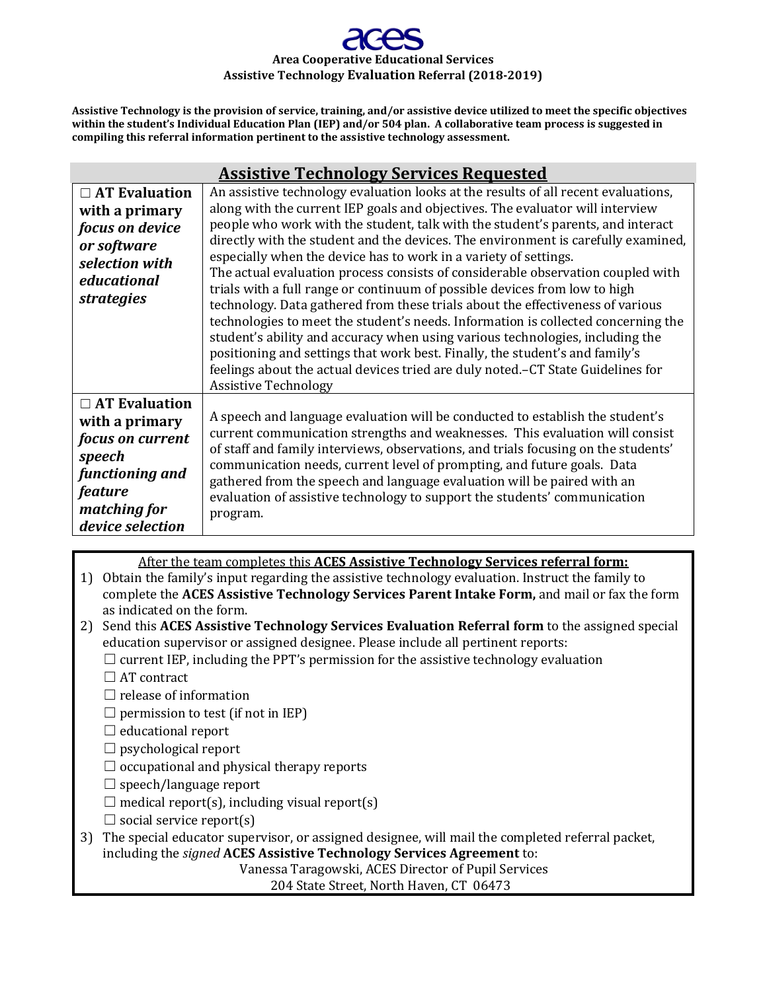# **Area Cooperative Educational Services Assistive Technology Evaluation Referral (2018-2019)**

**Assistive Technology is the provision of service, training, and/or assistive device utilized to meet the specific objectives within the student's Individual Education Plan (IEP) and/or 504 plan. A collaborative team process is suggested in compiling this referral information pertinent to the assistive technology assessment.**

|                                                                                                                                                      | <b>Assistive Technology Services Requested</b>                                                                                                                                                                                                                                                                                                                                                                                                                                                                                                                                                                                                                                                                                                                                                                                                                                                                                                                                                                                             |
|------------------------------------------------------------------------------------------------------------------------------------------------------|--------------------------------------------------------------------------------------------------------------------------------------------------------------------------------------------------------------------------------------------------------------------------------------------------------------------------------------------------------------------------------------------------------------------------------------------------------------------------------------------------------------------------------------------------------------------------------------------------------------------------------------------------------------------------------------------------------------------------------------------------------------------------------------------------------------------------------------------------------------------------------------------------------------------------------------------------------------------------------------------------------------------------------------------|
| $\Box$ AT Evaluation<br>with a primary<br>focus on device<br>or software<br>selection with<br>educational<br>strategies                              | An assistive technology evaluation looks at the results of all recent evaluations,<br>along with the current IEP goals and objectives. The evaluator will interview<br>people who work with the student, talk with the student's parents, and interact<br>directly with the student and the devices. The environment is carefully examined,<br>especially when the device has to work in a variety of settings.<br>The actual evaluation process consists of considerable observation coupled with<br>trials with a full range or continuum of possible devices from low to high<br>technology. Data gathered from these trials about the effectiveness of various<br>technologies to meet the student's needs. Information is collected concerning the<br>student's ability and accuracy when using various technologies, including the<br>positioning and settings that work best. Finally, the student's and family's<br>feelings about the actual devices tried are duly noted.-CT State Guidelines for<br><b>Assistive Technology</b> |
| $\Box$ AT Evaluation<br>with a primary<br><i>focus on current</i><br>speech<br>functioning and<br><i>feature</i><br>matching for<br>device selection | A speech and language evaluation will be conducted to establish the student's<br>current communication strengths and weaknesses. This evaluation will consist<br>of staff and family interviews, observations, and trials focusing on the students'<br>communication needs, current level of prompting, and future goals. Data<br>gathered from the speech and language evaluation will be paired with an<br>evaluation of assistive technology to support the students' communication<br>program.                                                                                                                                                                                                                                                                                                                                                                                                                                                                                                                                         |

After the team completes this **ACES Assistive Technology Services referral form:**

1) Obtain the family's input regarding the assistive technology evaluation. Instruct the family to complete the **ACES Assistive Technology Services Parent Intake Form,** and mail or fax the form as indicated on the form.

2) Send this **ACES Assistive Technology Services Evaluation Referral form** to the assigned special education supervisor or assigned designee. Please include all pertinent reports:

 $\Box$  current IEP, including the PPT's permission for the assistive technology evaluation

- $\Box$  AT contract
- $\Box$  release of information
- $\Box$  permission to test (if not in IEP)
- $\Box$  educational report
- $\Box$  psychological report
- $\Box$  occupational and physical therapy reports
- □ speech/language report
- $\Box$  medical report(s), including visual report(s)
- $\Box$  social service report(s)
- 3) The special educator supervisor, or assigned designee, will mail the completed referral packet, including the *signed* **ACES Assistive Technology Services Agreement** to:

Vanessa Taragowski, ACES Director of Pupil Services

204 State Street, North Haven, CT 06473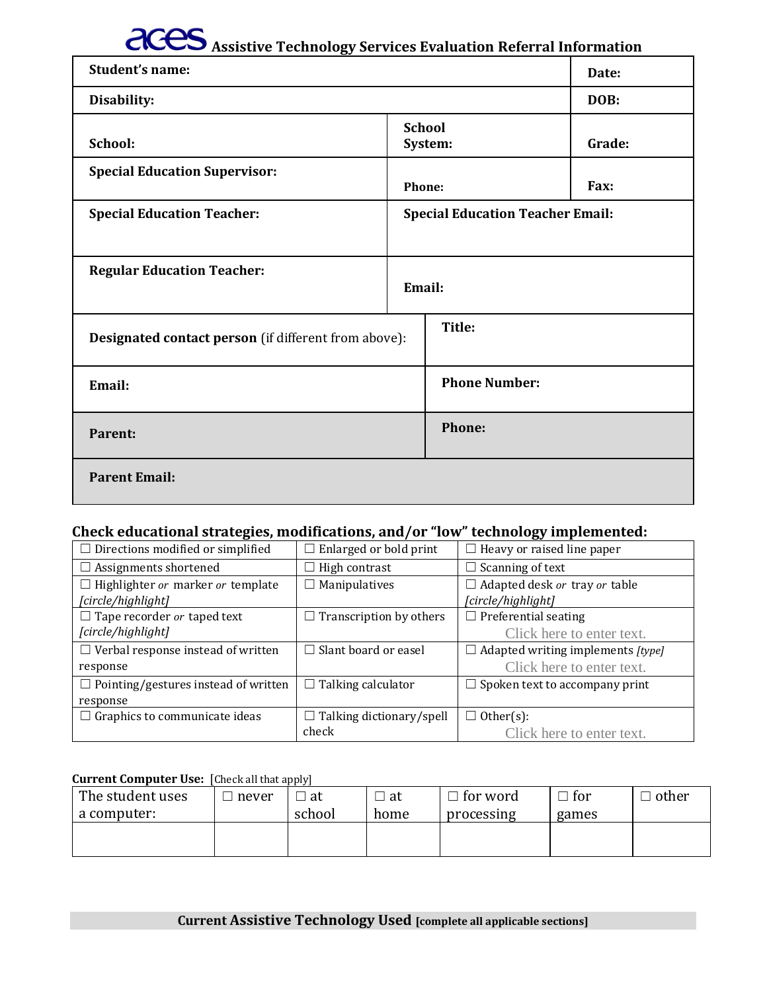# **ACES** Assistive Technology Services Evaluation Referral Information

| -------- <del>o</del> ,<br>Student's name:           |                          | Date:                                   |        |
|------------------------------------------------------|--------------------------|-----------------------------------------|--------|
| Disability:                                          |                          | DOB:                                    |        |
| School:                                              | <b>School</b><br>System: |                                         | Grade: |
| <b>Special Education Supervisor:</b>                 | Phone:                   |                                         | Fax:   |
| <b>Special Education Teacher:</b>                    |                          | <b>Special Education Teacher Email:</b> |        |
| <b>Regular Education Teacher:</b>                    | Email:                   |                                         |        |
| Designated contact person (if different from above): |                          | Title:                                  |        |
| Email:                                               |                          | <b>Phone Number:</b>                    |        |
| Parent:                                              |                          | Phone:                                  |        |
| <b>Parent Email:</b>                                 |                          |                                         |        |

# **Check educational strategies, modifications, and/or "low" technology implemented:**

| $\Box$ Directions modified or simplified    | $\Box$ Enlarged or bold print   | $\Box$ Heavy or raised line paper        |
|---------------------------------------------|---------------------------------|------------------------------------------|
| $\Box$ Assignments shortened                | $\Box$ High contrast            | $\Box$ Scanning of text                  |
| $\Box$ Highlighter or marker or template    | $\Box$ Manipulatives            | $\Box$ Adapted desk or tray or table     |
| [circle/highlight]                          |                                 | [circle/highlight]                       |
| $\Box$ Tape recorder or taped text          | $\Box$ Transcription by others  | $\Box$ Preferential seating              |
| [circle/highlight]                          |                                 | Click here to enter text.                |
| $\Box$ Verbal response instead of written   | $\Box$ Slant board or easel     | $\Box$ Adapted writing implements [type] |
| response                                    |                                 | Click here to enter text.                |
| $\Box$ Pointing/gestures instead of written | $\Box$ Talking calculator       | $\Box$ Spoken text to accompany print    |
| response                                    |                                 |                                          |
| $\Box$ Graphics to communicate ideas        | $\Box$ Talking dictionary/spell | $\Box$ Other(s):                         |
|                                             | check                           | Click here to enter text.                |

#### **Current Computer Use:** [Check all that apply]

| The student uses | never | at     | at   | । for word | for<br>– | other |
|------------------|-------|--------|------|------------|----------|-------|
| a computer:      |       | school | home | processing | games    |       |
|                  |       |        |      |            |          |       |
|                  |       |        |      |            |          |       |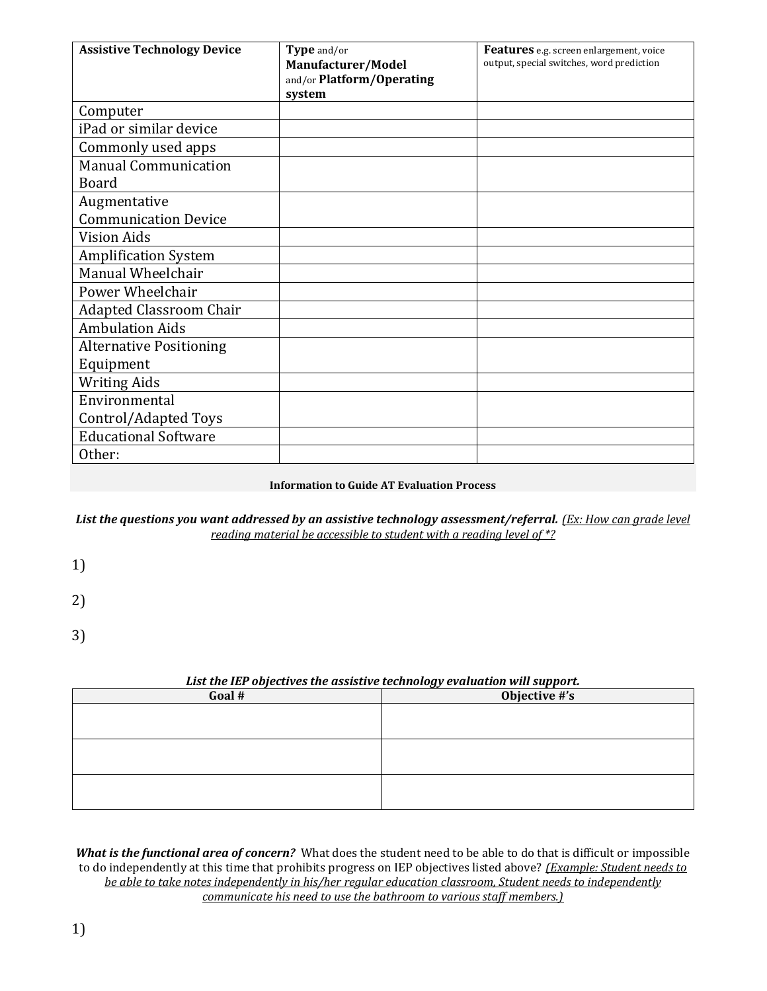| <b>Assistive Technology Device</b> | Type and/or<br>Manufacturer/Model<br>and/or Platform/Operating | Features e.g. screen enlargement, voice<br>output, special switches, word prediction |
|------------------------------------|----------------------------------------------------------------|--------------------------------------------------------------------------------------|
|                                    | system                                                         |                                                                                      |
| Computer                           |                                                                |                                                                                      |
| iPad or similar device             |                                                                |                                                                                      |
| Commonly used apps                 |                                                                |                                                                                      |
| <b>Manual Communication</b>        |                                                                |                                                                                      |
| <b>Board</b>                       |                                                                |                                                                                      |
| Augmentative                       |                                                                |                                                                                      |
| <b>Communication Device</b>        |                                                                |                                                                                      |
| <b>Vision Aids</b>                 |                                                                |                                                                                      |
| <b>Amplification System</b>        |                                                                |                                                                                      |
| Manual Wheelchair                  |                                                                |                                                                                      |
| Power Wheelchair                   |                                                                |                                                                                      |
| <b>Adapted Classroom Chair</b>     |                                                                |                                                                                      |
| <b>Ambulation Aids</b>             |                                                                |                                                                                      |
| <b>Alternative Positioning</b>     |                                                                |                                                                                      |
| Equipment                          |                                                                |                                                                                      |
| <b>Writing Aids</b>                |                                                                |                                                                                      |
| Environmental                      |                                                                |                                                                                      |
| Control/Adapted Toys               |                                                                |                                                                                      |
| <b>Educational Software</b>        |                                                                |                                                                                      |
| Other:                             |                                                                |                                                                                      |

#### **Information to Guide AT Evaluation Process**

#### List the questions you want addressed by an assistive technology assessment/referral. *(Ex: How can grade level reading material be accessible to student with a reading level of \*?*

- 1)
- 
- 2)
- 3)

#### *List the IEP objectives the assistive technology evaluation will support.*

| Goal # | Objective #'s |
|--------|---------------|
|        |               |
|        |               |
|        |               |
|        |               |
|        |               |
|        |               |
|        |               |
|        |               |

*What is the functional area of concern?*What does the student need to be able to do that is difficult or impossible to do independently at this time that prohibits progress on IEP objectives listed above? *(Example: Student needs to be able to take notes independently in his/her regular education classroom, Student needs to independently communicate his need to use the bathroom to various staff members.)*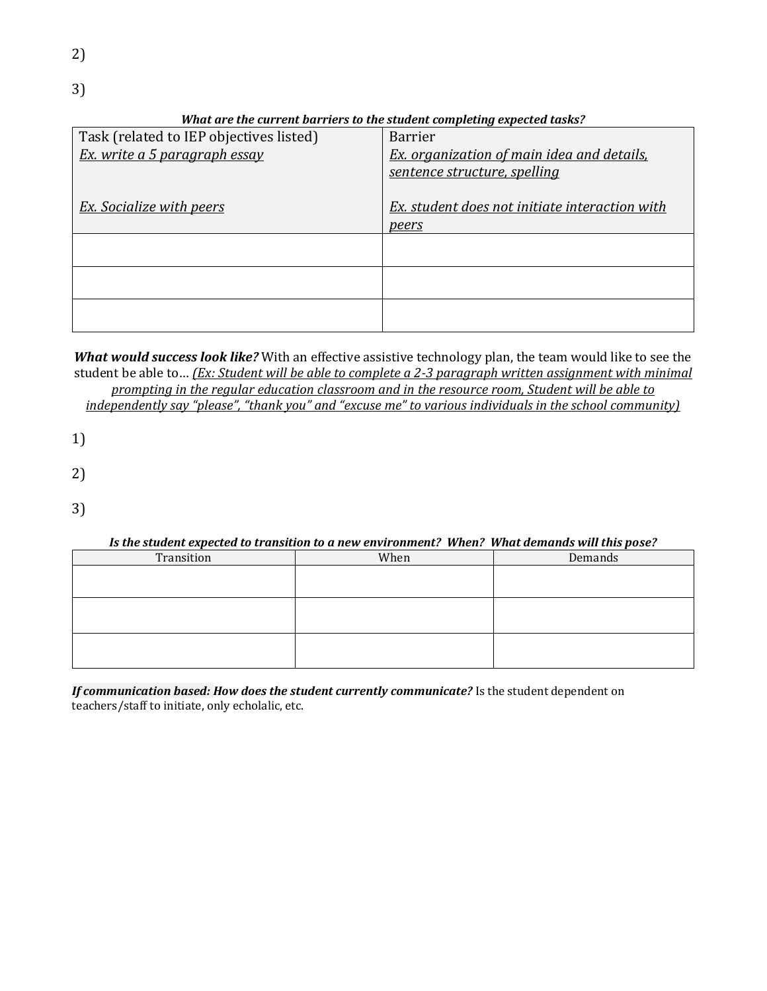3)

## *What are the current barriers to the student completing expected tasks?*

| Task (related to IEP objectives listed) | <b>Barrier</b>                                    |
|-----------------------------------------|---------------------------------------------------|
| Ex. write a 5 paragraph essay           | <b>Ex.</b> organization of main idea and details, |
|                                         | sentence structure, spelling                      |
|                                         |                                                   |
| <b>Ex.</b> Socialize with peers         | Ex. student does not initiate interaction with    |
|                                         | peers                                             |
|                                         |                                                   |
|                                         |                                                   |
|                                         |                                                   |
|                                         |                                                   |
|                                         |                                                   |
|                                         |                                                   |

*What would success look like?* With an effective assistive technology plan, the team would like to see the student be able to… *(Ex: Student will be able to complete a 2-3 paragraph written assignment with minimal prompting in the regular education classroom and in the resource room, Student will be able to* 

*independently say "please", "thank you" and "excuse me" to various individuals in the school community)*

- 1)
- 2)
- 
- 3)

#### *Is the student expected to transition to a new environment? When? What demands will this pose?*

| Transition | When | Demands |
|------------|------|---------|
|            |      |         |
|            |      |         |
|            |      |         |
|            |      |         |
|            |      |         |
|            |      |         |

*If communication based: How does the student currently communicate?* Is the student dependent on teachers/staff to initiate, only echolalic, etc.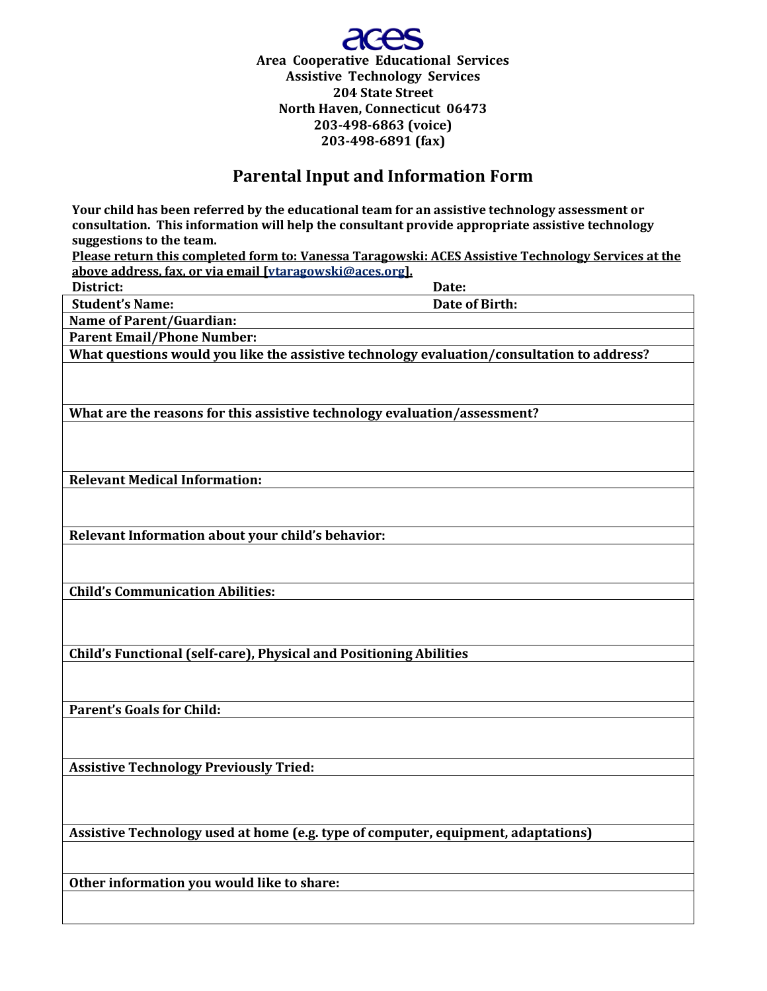

# **Parental Input and Information Form**

| Your child has been referred by the educational team for an assistive technology assessment or                                                                  |
|-----------------------------------------------------------------------------------------------------------------------------------------------------------------|
| consultation. This information will help the consultant provide appropriate assistive technology                                                                |
| suggestions to the team.                                                                                                                                        |
| Please return this completed form to: Vanessa Taragowski: ACES Assistive Technology Services at the<br>above address, fax, or via email [vtaragowski@aces.org]. |
| District:<br>Date:                                                                                                                                              |
| Date of Birth:<br><b>Student's Name:</b>                                                                                                                        |
| <b>Name of Parent/Guardian:</b>                                                                                                                                 |
|                                                                                                                                                                 |
| <b>Parent Email/Phone Number:</b>                                                                                                                               |
| What questions would you like the assistive technology evaluation/consultation to address?                                                                      |
|                                                                                                                                                                 |
|                                                                                                                                                                 |
| What are the reasons for this assistive technology evaluation/assessment?                                                                                       |
|                                                                                                                                                                 |
|                                                                                                                                                                 |
|                                                                                                                                                                 |
| <b>Relevant Medical Information:</b>                                                                                                                            |
|                                                                                                                                                                 |
|                                                                                                                                                                 |
| Relevant Information about your child's behavior:                                                                                                               |
|                                                                                                                                                                 |
|                                                                                                                                                                 |
|                                                                                                                                                                 |
| <b>Child's Communication Abilities:</b>                                                                                                                         |
|                                                                                                                                                                 |
|                                                                                                                                                                 |
|                                                                                                                                                                 |
| Child's Functional (self-care), Physical and Positioning Abilities                                                                                              |
|                                                                                                                                                                 |
|                                                                                                                                                                 |
| <b>Parent's Goals for Child:</b>                                                                                                                                |
|                                                                                                                                                                 |
|                                                                                                                                                                 |
|                                                                                                                                                                 |
| <b>Assistive Technology Previously Tried:</b>                                                                                                                   |
|                                                                                                                                                                 |
|                                                                                                                                                                 |
|                                                                                                                                                                 |
| Assistive Technology used at home (e.g. type of computer, equipment, adaptations)                                                                               |
|                                                                                                                                                                 |
|                                                                                                                                                                 |
| Other information you would like to share:                                                                                                                      |
|                                                                                                                                                                 |